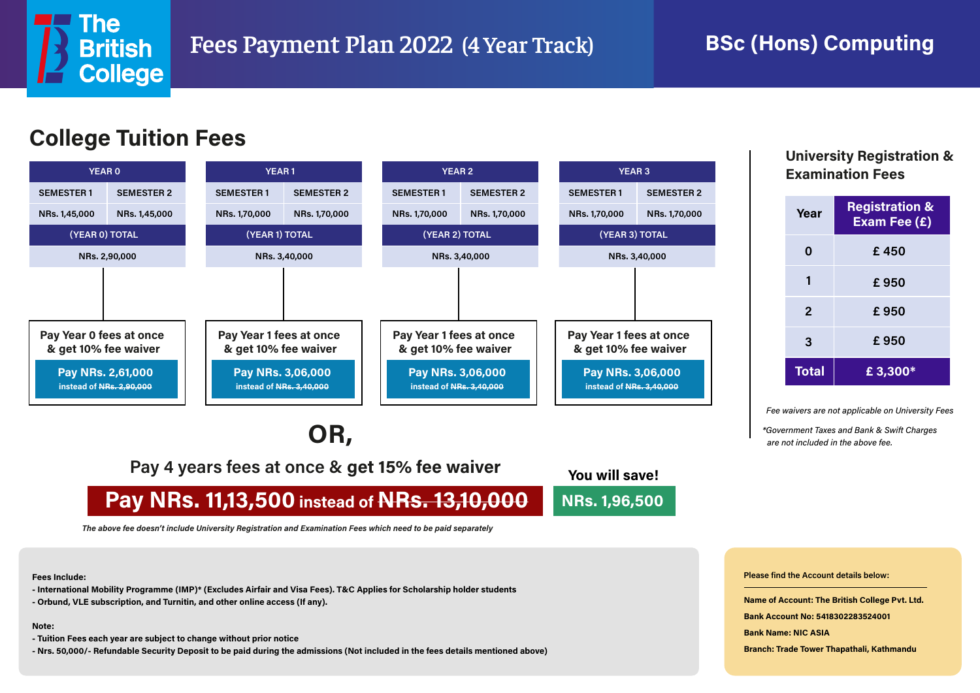

### **BSc (Hons) Computing**



## **OR,**

**Pay 4 years fees at once & get 15% fee waiver**

**Pay NRs. 11,13,500 instead of NRs. 13,10,000**

**You will save! NRs. 1,96,500**

*The above fee doesn't include University Registration and Examination Fees which need to be paid separately*

**Fees Include:**

- **International Mobility Programme (IMP)\* (Excludes Airfair and Visa Fees). T&C Applies for Scholarship holder students**
- **Orbund, VLE subscription, and Turnitin, and other online access (If any).**

**Note:** 

- **Tuition Fees each year are subject to change without prior notice**
- **Nrs. 50,000/- Refundable Security Deposit to be paid during the admissions (Not included in the fees details mentioned above)**

# **Examination Fees**

| Year         | <b>Registration &amp;</b><br>Exam Fee (£) |
|--------------|-------------------------------------------|
| 0            | £450                                      |
|              | £950                                      |
| $\mathbf{2}$ | £950                                      |
| 3            | £950                                      |
| <b>Total</b> | £3,300*                                   |

*Fee waivers are not applicable on University Fees*

*\*Government Taxes and Bank & Swift Charges are not included in the above fee.*

**Please find the Account details below:**

**Name of Account: The British College Pvt. Ltd.**

**Bank Account No: 5418302283524001**

**Bank Name: NIC ASIA**

**Branch: Trade Tower Thapathali, Kathmandu**